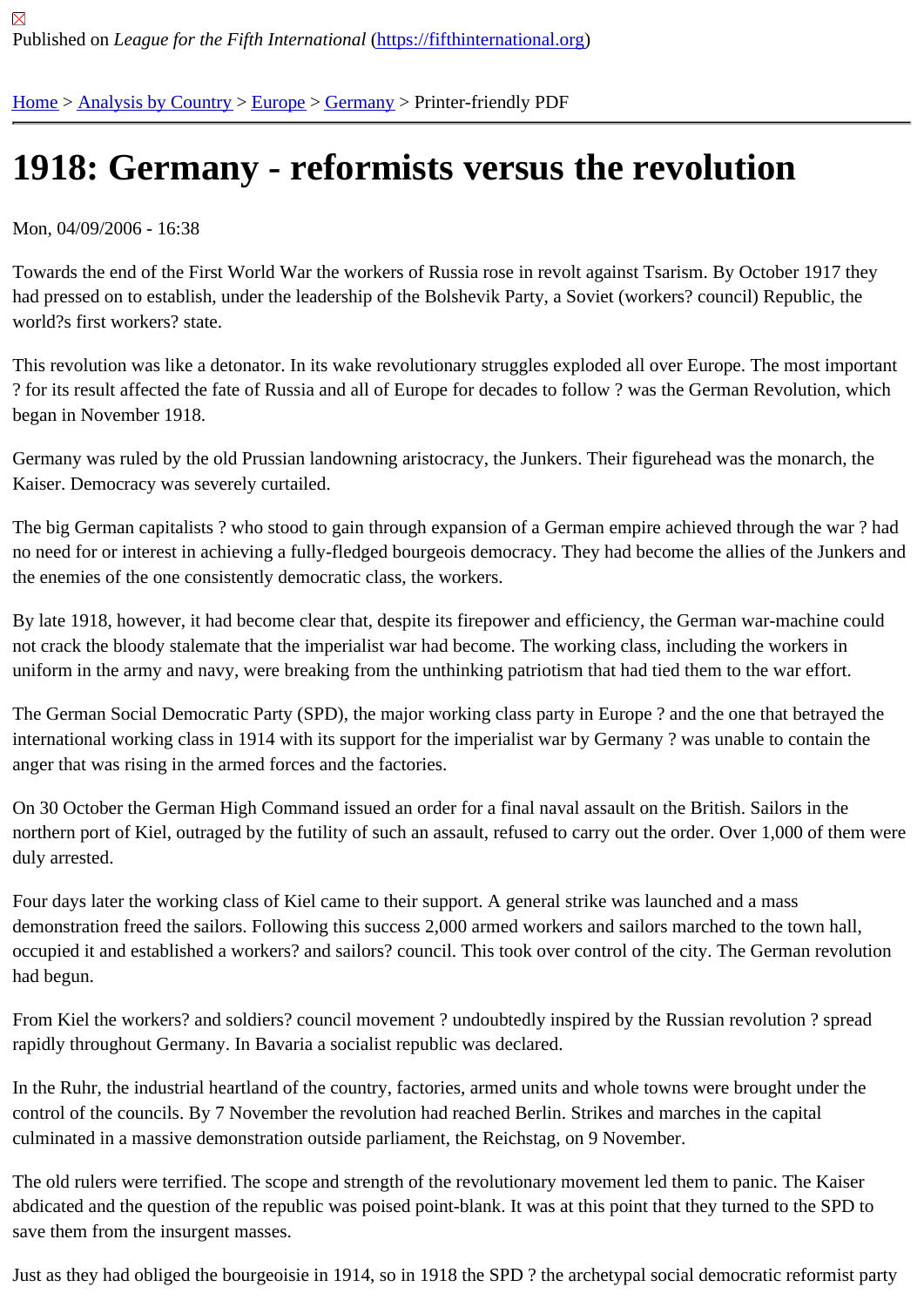## [191](https://fifthinternational.org/)[8: German](https://fifthinternational.org/category/1)[y - r](https://fifthinternational.org/category/1/128)[eform](https://fifthinternational.org/category/1/128/146)ists versus the revolution

Mon, 04/09/2006 - 16:38

Towards the end of the First World War the workers of Russia rose in revolt against Tsarism. By October 1917 the had pressed on to establish, under the leadership of the Bolshevik Party, a Soviet (workers? council) Republic, the world?s first workers? state.

This revolution was like a detonator. In its wake revolutionary struggles exploded all over Europe. The most import ? for its result affected the fate of Russia and all of Europe for decades to follow ? was the German Revolution, wh began in November 1918.

Germany was ruled by the old Prussian landowning aristocracy, the Junkers. Their figurehead was the monarch, the Kaiser. Democracy was severely curtailed.

The big German capitalists ? who stood to gain through expansion of a German empire achieved through the war no need for or interest in achieving a fully-fledged bourgeois democracy. They had become the allies of the Junke the enemies of the one consistently democratic class, the workers.

By late 1918, however, it had become clear that, despite its firepower and efficiency, the German war-machine cou not crack the bloody stalemate that the imperialist war had become. The working class, including the workers in uniform in the army and navy, were breaking from the unthinking patriotism that had tied them to the war effort.

The German Social Democratic Party (SPD), the major working class party in Europe ? and the one that betrayed the international working class in 1914 with its support for the imperialist war by Germany ? was unable to contain the anger that was rising in the armed forces and the factories.

On 30 October the German High Command issued an order for a final naval assault on the British. Sailors in the northern port of Kiel, outraged by the futility of such an assault, refused to carry out the order. Over 1,000 of them duly arrested.

Four days later the working class of Kiel came to their support. A general strike was launched and a mass demonstration freed the sailors. Following this success 2,000 armed workers and sailors marched to the town hall, occupied it and established a workers? and sailors? council. This took over control of the city. The German revolut had begun.

From Kiel the workers? and soldiers? council movement ? undoubtedly inspired by the Russian revolution ? spread rapidly throughout Germany. In Bavaria a socialist republic was declared.

In the Ruhr, the industrial heartland of the country, factories, armed units and whole towns were brought under the control of the councils. By 7 November the revolution had reached Berlin. Strikes and marches in the capital culminated in a massive demonstration outside parliament, the Reichstag, on 9 November.

The old rulers were terrified. The scope and strength of the revolutionary movement led them to panic. The Kaiser abdicated and the question of the republic was poised point-blank. It was at this point that they turned to the SPD to save them from the insurgent masses.

Just as they had obliged the bourgeoisie in 1914, so in 1918 the SPD? the archetypal social democratic reformist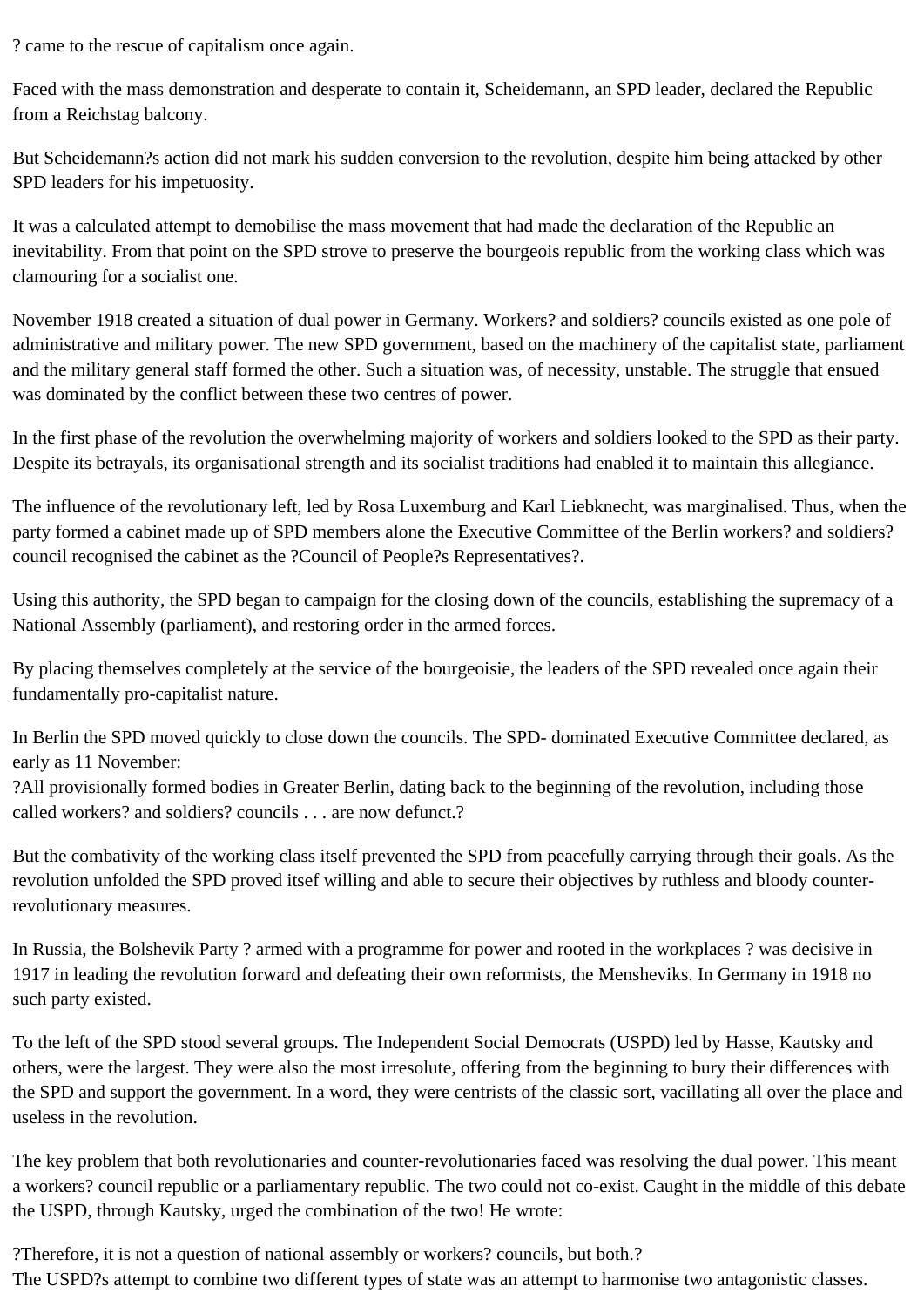? came to the rescue of capitalism once again.

Faced with the mass demonstration and desperate to contain it, Scheidemann, an SPD leader, declared the Republic from a Reichstag balcony.

But Scheidemann?s action did not mark his sudden conversion to the revolution, despite him being attacked by other SPD leaders for his impetuosity.

It was a calculated attempt to demobilise the mass movement that had made the declaration of the Republic an inevitability. From that point on the SPD strove to preserve the bourgeois republic from the working class which was clamouring for a socialist one.

November 1918 created a situation of dual power in Germany. Workers? and soldiers? councils existed as one pole of administrative and military power. The new SPD government, based on the machinery of the capitalist state, parliament and the military general staff formed the other. Such a situation was, of necessity, unstable. The struggle that ensued was dominated by the conflict between these two centres of power.

In the first phase of the revolution the overwhelming majority of workers and soldiers looked to the SPD as their party. Despite its betrayals, its organisational strength and its socialist traditions had enabled it to maintain this allegiance.

The influence of the revolutionary left, led by Rosa Luxemburg and Karl Liebknecht, was marginalised. Thus, when the party formed a cabinet made up of SPD members alone the Executive Committee of the Berlin workers? and soldiers? council recognised the cabinet as the ?Council of People?s Representatives?.

Using this authority, the SPD began to campaign for the closing down of the councils, establishing the supremacy of a National Assembly (parliament), and restoring order in the armed forces.

By placing themselves completely at the service of the bourgeoisie, the leaders of the SPD revealed once again their fundamentally pro-capitalist nature.

In Berlin the SPD moved quickly to close down the councils. The SPD- dominated Executive Committee declared, as early as 11 November:

?All provisionally formed bodies in Greater Berlin, dating back to the beginning of the revolution, including those called workers? and soldiers? councils . . . are now defunct.?

But the combativity of the working class itself prevented the SPD from peacefully carrying through their goals. As the revolution unfolded the SPD proved itsef willing and able to secure their objectives by ruthless and bloody counterrevolutionary measures.

In Russia, the Bolshevik Party ? armed with a programme for power and rooted in the workplaces ? was decisive in 1917 in leading the revolution forward and defeating their own reformists, the Mensheviks. In Germany in 1918 no such party existed.

To the left of the SPD stood several groups. The Independent Social Democrats (USPD) led by Hasse, Kautsky and others, were the largest. They were also the most irresolute, offering from the beginning to bury their differences with the SPD and support the government. In a word, they were centrists of the classic sort, vacillating all over the place and useless in the revolution.

The key problem that both revolutionaries and counter-revolutionaries faced was resolving the dual power. This meant a workers? council republic or a parliamentary republic. The two could not co-exist. Caught in the middle of this debate the USPD, through Kautsky, urged the combination of the two! He wrote:

?Therefore, it is not a question of national assembly or workers? councils, but both.? The USPD?s attempt to combine two different types of state was an attempt to harmonise two antagonistic classes.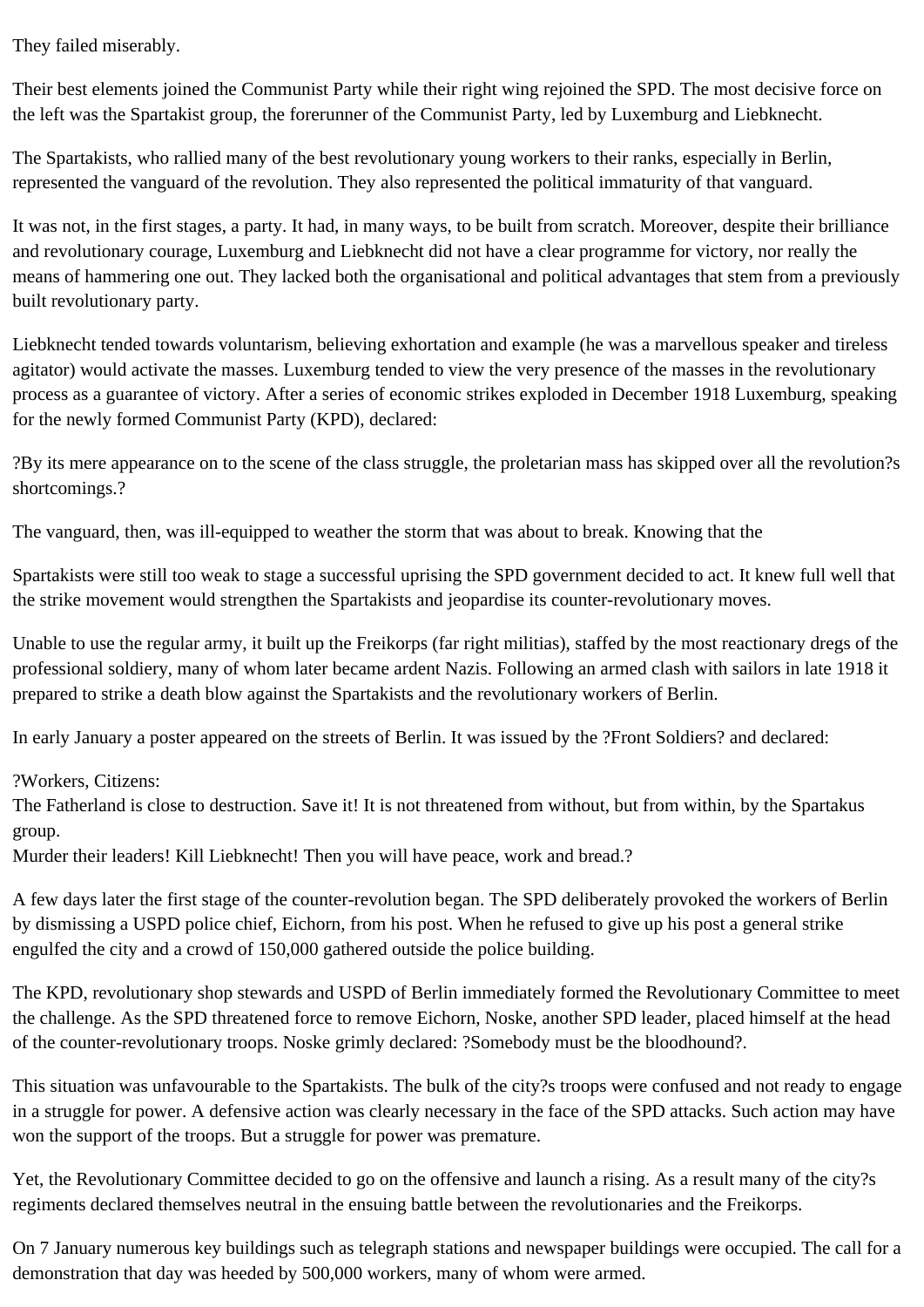They failed miserably.

Their best elements joined the Communist Party while their right wing rejoined the SPD. The most decisive force on the left was the Spartakist group, the forerunner of the Communist Party, led by Luxemburg and Liebknecht.

The Spartakists, who rallied many of the best revolutionary young workers to their ranks, especially in Berlin, represented the vanguard of the revolution. They also represented the political immaturity of that vanguard.

It was not, in the first stages, a party. It had, in many ways, to be built from scratch. Moreover, despite their brilliance and revolutionary courage, Luxemburg and Liebknecht did not have a clear programme for victory, nor really the means of hammering one out. They lacked both the organisational and political advantages that stem from a previously built revolutionary party.

Liebknecht tended towards voluntarism, believing exhortation and example (he was a marvellous speaker and tireless agitator) would activate the masses. Luxemburg tended to view the very presence of the masses in the revolutionary process as a guarantee of victory. After a series of economic strikes exploded in December 1918 Luxemburg, speaking for the newly formed Communist Party (KPD), declared:

?By its mere appearance on to the scene of the class struggle, the proletarian mass has skipped over all the revolution?s shortcomings.?

The vanguard, then, was ill-equipped to weather the storm that was about to break. Knowing that the

Spartakists were still too weak to stage a successful uprising the SPD government decided to act. It knew full well that the strike movement would strengthen the Spartakists and jeopardise its counter-revolutionary moves.

Unable to use the regular army, it built up the Freikorps (far right militias), staffed by the most reactionary dregs of the professional soldiery, many of whom later became ardent Nazis. Following an armed clash with sailors in late 1918 it prepared to strike a death blow against the Spartakists and the revolutionary workers of Berlin.

In early January a poster appeared on the streets of Berlin. It was issued by the ?Front Soldiers? and declared:

?Workers, Citizens:

The Fatherland is close to destruction. Save it! It is not threatened from without, but from within, by the Spartakus group.

Murder their leaders! Kill Liebknecht! Then you will have peace, work and bread.?

A few days later the first stage of the counter-revolution began. The SPD deliberately provoked the workers of Berlin by dismissing a USPD police chief, Eichorn, from his post. When he refused to give up his post a general strike engulfed the city and a crowd of 150,000 gathered outside the police building.

The KPD, revolutionary shop stewards and USPD of Berlin immediately formed the Revolutionary Committee to meet the challenge. As the SPD threatened force to remove Eichorn, Noske, another SPD leader, placed himself at the head of the counter-revolutionary troops. Noske grimly declared: ?Somebody must be the bloodhound?.

This situation was unfavourable to the Spartakists. The bulk of the city?s troops were confused and not ready to engage in a struggle for power. A defensive action was clearly necessary in the face of the SPD attacks. Such action may have won the support of the troops. But a struggle for power was premature.

Yet, the Revolutionary Committee decided to go on the offensive and launch a rising. As a result many of the city?s regiments declared themselves neutral in the ensuing battle between the revolutionaries and the Freikorps.

On 7 January numerous key buildings such as telegraph stations and newspaper buildings were occupied. The call for a demonstration that day was heeded by 500,000 workers, many of whom were armed.